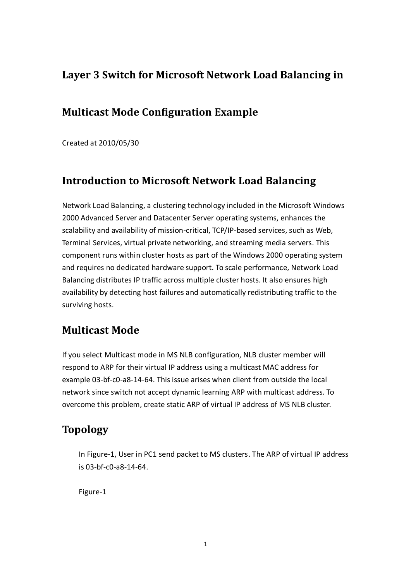### **Layer 3 Switch for Microsoft Network Load Balancing in**

## **Multicast Mode Configuration Example**

Created at 2010/05/30

## **Introduction to Microsoft Network Load Balancing**

Network Load Balancing, a clustering technology included in the Microsoft Windows 2000 Advanced Server and Datacenter Server operating systems, enhances the scalability and availability of mission-critical, TCP/IP-based services, such as Web, Terminal Services, virtual private networking, and streaming media servers. This component runs within cluster hosts as part of the Windows 2000 operating system and requires no dedicated hardware support. To scale performance, Network Load Balancing distributes IP traffic across multiple cluster hosts. It also ensures high availability by detecting host failures and automatically redistributing traffic to the surviving hosts.

## **Multicast Mode**

If you select Multicast mode in MS NLB configuration, NLB cluster member will respond to ARP for their virtual IP address using a multicast MAC address for example 03-bf-c0-a8-14-64. This issue arises when client from outside the local network since switch not accept dynamic learning ARP with multicast address. To overcome this problem, create static ARP of virtual IP address of MS NLB cluster.

#### **Topology**

In Figure-1, User in PC1 send packet to MS clusters. The ARP of virtual IP address is 03-bf-c0-a8-14-64.

Figure-1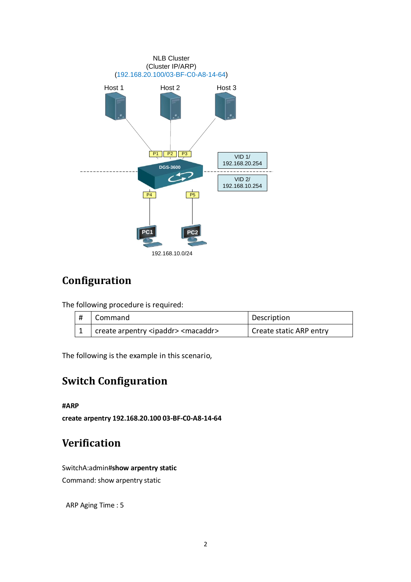

# **Configuration**

The following procedure is required:

| Command                                               | Description             |
|-------------------------------------------------------|-------------------------|
| create arpentry <ipaddr> <macaddr></macaddr></ipaddr> | Create static ARP entry |

The following is the example in this scenario,

# **Switch Configuration**

**#ARP**

**create arpentry 192.168.20.100 03-BF-C0-A8-14-64**

## **Verification**

SwitchA:admin#**show arpentry static**

Command: show arpentry static

ARP Aging Time : 5